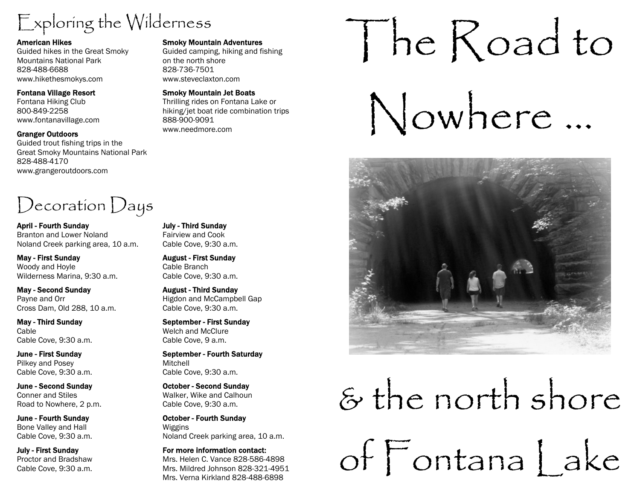# Exploring the Wilderness

#### American Hikes

Guided hikes in the Great Smoky Mountains National Park 828-488-6688 www.hikethesmokys.com

#### Fontana Village Resort

Fontana Hiking Club 800-849-2258 www.fontanavillage.com

#### Granger Outdoors

Guided trout fishing trips in the Great Smoky Mountains National Park 828-488-4170 www.grangeroutdoors.com

## Decoration Days

April - Fourth Sunday Branton and Lower Noland Noland Creek parking area, 10 a.m.

May - First Sunday Woody and Hoyle Wilderness Marina, 9:30 a.m.

May - Second Sunday Payne and Orr Cross Dam, Old 288, 10 a.m.

May - Third Sunday Cable Cable Cove, 9:30 a.m.

June - First Sunday Pilkey and Posey Cable Cove, 9:30 a.m.

June - Second Sunday Conner and Stiles Road to Nowhere, 2 p.m.

June - Fourth Sunday Bone Valley and Hall Cable Cove, 9:30 a.m.

July - First Sunday Proctor and Bradshaw Cable Cove, 9:30 a.m.

#### Smoky Mountain Adventures

Guided camping, hiking and fishing on the north shore 828-736-7501 www.steveclaxton.com

#### Smoky Mountain Jet Boats

Thrilling rides on Fontana Lake or hiking/jet boat ride combination trips 888-900-9091 www.needmore.com

# The Road to

Nowhere ...



# & the north shore of Fontana | ake

#### July - Third Sunday Fairview and Cook Cable Cove, 9:30 a.m.

August - First Sunday Cable Branch Cable Cove, 9:30 a.m.

August - Third Sunday Higdon and McCampbell Gap Cable Cove, 9:30 a.m.

September - First Sunday Welch and McClure Cable Cove, 9 a.m.

September - Fourth Saturday Mitchell Cable Cove, 9:30 a.m.

October - Second Sunday Walker, Wike and Calhoun Cable Cove, 9:30 a.m.

October - Fourth Sunday Wiggins Noland Creek parking area, 10 a.m.

For more information contact: Mrs. Helen C. Vance 828-586-4898 Mrs. Mildred Johnson 828-321-4951 Mrs. Verna Kirkland 828-488-6898